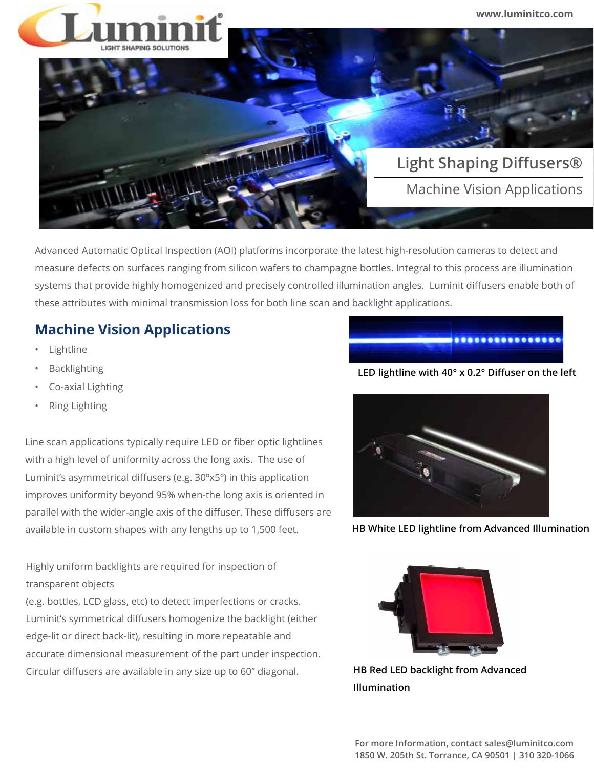

Advanced Automatic Optical Inspection (AOI) platforms incorporate the latest high-resolution cameras to detect and measure defects on surfaces ranging from silicon wafers to champagne bottles. Integral to this process are illumination systems that provide highly homogenized and precisely controlled illumination angles. Luminit diffusers enable both of these attributes with minimal transmission loss for both line scan and backlight applications.

## **Machine Vision Applications**

- Lightline
- **Backlighting**
- Co-axial Lighting
- Ring Lighting

Line scan applications typically require LED or fiber optic lightlines with a high level of uniformity across the long axis. The use of Luminit's asymmetrical diffusers (e.g. 30ºx5º) in this application improves uniformity beyond 95% when-the long axis is oriented in parallel with the wider-angle axis of the diffuser. These diffusers are available in custom shapes with any lengths up to 1,500 feet.

Highly uniform backlights are required for inspection of transparent objects

(e.g. bottles, LCD glass, etc) to detect imperfections or cracks. Luminit's symmetrical diffusers homogenize the backlight (either edge-lit or direct back-lit), resulting in more repeatable and accurate dimensional measurement of the part under inspection. Circular diffusers are available in any size up to 60" diagonal.



**LED lightline with 40° x 0.2° Diffuser on the left**



**HB White LED lightline from Advanced Illumination**



**HB Red LED backlight from Advanced Illumination**